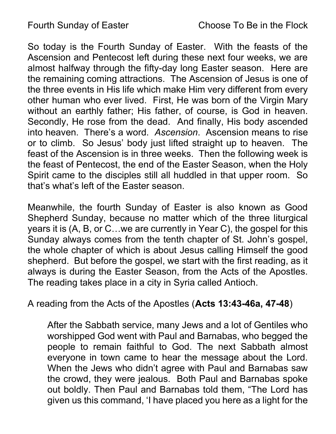So today is the Fourth Sunday of Easter. With the feasts of the Ascension and Pentecost left during these next four weeks, we are almost halfway through the fifty-day long Easter season. Here are the remaining coming attractions. The Ascension of Jesus is one of the three events in His life which make Him very different from every other human who ever lived. First, He was born of the Virgin Mary without an earthly father; His father, of course, is God in heaven. Secondly, He rose from the dead. And finally, His body ascended into heaven. There's a word. Ascension. Ascension means to rise or to climb. So Jesus' body just lifted straight up to heaven. The feast of the Ascension is in three weeks. Then the following week is the feast of Pentecost, the end of the Easter Season, when the Holy Spirit came to the disciples still all huddled in that upper room. So that's what's left of the Easter season.

Meanwhile, the fourth Sunday of Easter is also known as Good Shepherd Sunday, because no matter which of the three liturgical years it is (A, B, or C…we are currently in Year C), the gospel for this Sunday always comes from the tenth chapter of St. John's gospel, the whole chapter of which is about Jesus calling Himself the good shepherd. But before the gospel, we start with the first reading, as it always is during the Easter Season, from the Acts of the Apostles. The reading takes place in a city in Syria called Antioch.

## A reading from the Acts of the Apostles (Acts 13:43-46a, 47-48)

After the Sabbath service, many Jews and a lot of Gentiles who worshipped God went with Paul and Barnabas, who begged the people to remain faithful to God. The next Sabbath almost everyone in town came to hear the message about the Lord. When the Jews who didn't agree with Paul and Barnabas saw the crowd, they were jealous. Both Paul and Barnabas spoke out boldly. Then Paul and Barnabas told them, "The Lord has given us this command, 'I have placed you here as a light for the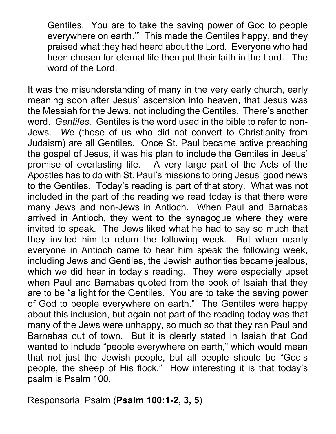Gentiles. You are to take the saving power of God to people everywhere on earth.'" This made the Gentiles happy, and they praised what they had heard about the Lord. Everyone who had been chosen for eternal life then put their faith in the Lord. The word of the Lord.

It was the misunderstanding of many in the very early church, early meaning soon after Jesus' ascension into heaven, that Jesus was the Messiah for the Jews, not including the Gentiles. There's another word. Gentiles. Gentiles is the word used in the bible to refer to non-Jews. We (those of us who did not convert to Christianity from Judaism) are all Gentiles. Once St. Paul became active preaching the gospel of Jesus, it was his plan to include the Gentiles in Jesus' promise of everlasting life. A very large part of the Acts of the Apostles has to do with St. Paul's missions to bring Jesus' good news to the Gentiles. Today's reading is part of that story. What was not included in the part of the reading we read today is that there were many Jews and non-Jews in Antioch. When Paul and Barnabas arrived in Antioch, they went to the synagogue where they were invited to speak. The Jews liked what he had to say so much that they invited him to return the following week. But when nearly everyone in Antioch came to hear him speak the following week, including Jews and Gentiles, the Jewish authorities became jealous, which we did hear in today's reading. They were especially upset when Paul and Barnabas quoted from the book of Isaiah that they are to be "a light for the Gentiles. You are to take the saving power of God to people everywhere on earth." The Gentiles were happy about this inclusion, but again not part of the reading today was that many of the Jews were unhappy, so much so that they ran Paul and Barnabas out of town. But it is clearly stated in Isaiah that God wanted to include "people everywhere on earth," which would mean that not just the Jewish people, but all people should be "God's people, the sheep of His flock." How interesting it is that today's psalm is Psalm 100.

Responsorial Psalm (Psalm 100:1-2, 3, 5)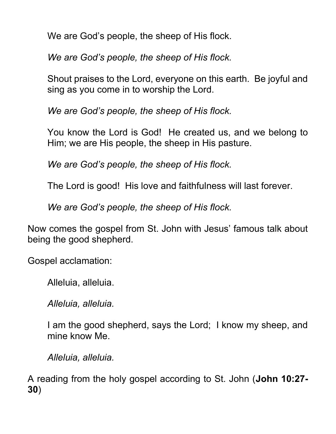We are God's people, the sheep of His flock.

We are God's people, the sheep of His flock.

Shout praises to the Lord, everyone on this earth. Be joyful and sing as you come in to worship the Lord.

We are God's people, the sheep of His flock.

You know the Lord is God! He created us, and we belong to Him; we are His people, the sheep in His pasture.

We are God's people, the sheep of His flock.

The Lord is good! His love and faithfulness will last forever.

We are God's people, the sheep of His flock.

Now comes the gospel from St. John with Jesus' famous talk about being the good shepherd.

Gospel acclamation:

Alleluia, alleluia.

Alleluia, alleluia.

I am the good shepherd, says the Lord; I know my sheep, and mine know Me.

Alleluia, alleluia.

A reading from the holy gospel according to St. John (John 10:27- 30)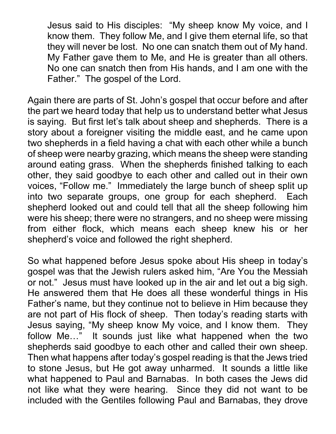Jesus said to His disciples: "My sheep know My voice, and I know them. They follow Me, and I give them eternal life, so that they will never be lost. No one can snatch them out of My hand. My Father gave them to Me, and He is greater than all others. No one can snatch then from His hands, and I am one with the Father." The gospel of the Lord.

Again there are parts of St. John's gospel that occur before and after the part we heard today that help us to understand better what Jesus is saying. But first let's talk about sheep and shepherds. There is a story about a foreigner visiting the middle east, and he came upon two shepherds in a field having a chat with each other while a bunch of sheep were nearby grazing, which means the sheep were standing around eating grass. When the shepherds finished talking to each other, they said goodbye to each other and called out in their own voices, "Follow me." Immediately the large bunch of sheep split up into two separate groups, one group for each shepherd. Each shepherd looked out and could tell that all the sheep following him were his sheep; there were no strangers, and no sheep were missing from either flock, which means each sheep knew his or her shepherd's voice and followed the right shepherd.

So what happened before Jesus spoke about His sheep in today's gospel was that the Jewish rulers asked him, "Are You the Messiah or not." Jesus must have looked up in the air and let out a big sigh. He answered them that He does all these wonderful things in His Father's name, but they continue not to believe in Him because they are not part of His flock of sheep. Then today's reading starts with Jesus saying, "My sheep know My voice, and I know them. They follow Me…" It sounds just like what happened when the two shepherds said goodbye to each other and called their own sheep. Then what happens after today's gospel reading is that the Jews tried to stone Jesus, but He got away unharmed. It sounds a little like what happened to Paul and Barnabas. In both cases the Jews did not like what they were hearing. Since they did not want to be included with the Gentiles following Paul and Barnabas, they drove